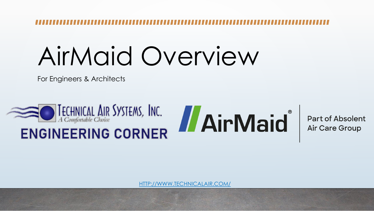# AirMaid Overview

For Engineers & Architects





[HTTP://WWW.TECHNICALAIR.COM/](http://www.technicalair.com/)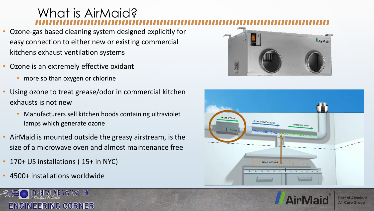#### What is AirMaid?

- Ozone-gas based cleaning system designed explicitly for easy connection to either new or existing commercial kitchens exhaust ventilation systems
- Ozone is an extremely effective oxidant
	- more so than oxygen or chlorine
- Using ozone to treat grease/odor in commercial kitchen exhausts is not new
	- Manufacturers sell kitchen hoods containing ultraviolet lamps which generate ozone
- AirMaid is mounted outside the greasy airstream, is the size of a microwave oven and almost maintenance free
- 170+ US installations (15+ in NYC)
- 4500+ installations worldwide









**Part of Absolent Air Care Group**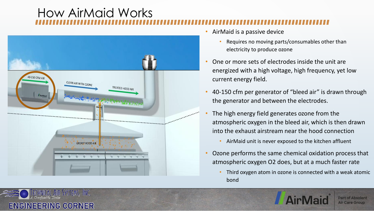### How AirMaid Works



TECHNICAL AIR SYSTEMS, INC.

ENGINEERING CORNER

- AirMaid is a passive device
	- Requires no moving parts/consumables other than electricity to produce ozone
- One or more sets of electrodes inside the unit are energized with a high voltage, high frequency, yet low current energy field.
- 40-150 cfm per generator of "bleed air" is drawn through the generator and between the electrodes.
- The high energy field generates ozone from the atmospheric oxygen in the bleed air, which is then drawn into the exhaust airstream near the hood connection
	- AirMaid unit is never exposed to the kitchen affluent
- Ozone performs the same chemical oxidation process that atmospheric oxygen O2 does, but at a much faster rate
	- Third oxygen atom in ozone is connected with a weak atomic bond

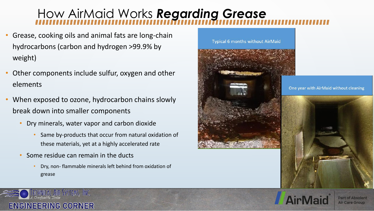#### How AirMaid Works *Regarding Grease*

- Grease, cooking oils and animal fats are long-chain hydrocarbons (carbon and hydrogen >99.9% by weight)
- Other components include sulfur, oxygen and other elements
- When exposed to ozone, hydrocarbon chains slowly break down into smaller components
	- Dry minerals, water vapor and carbon dioxide
		- Same by-products that occur from natural oxidation of these materials, yet at a highly accelerated rate
	- Some residue can remain in the ducts
		- Dry, non- flammable minerals left behind from oxidation of grease







**Air Care Group**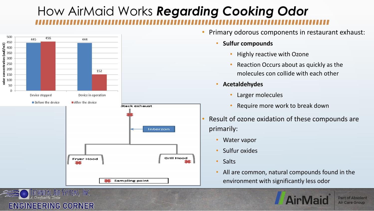## How AirMaid Works *Regarding Cooking Odor*



ENGINEERING CORNER

- Primary odorous components in restaurant exhaust:
	- **Sulfur compounds** 
		- Highly reactive with Ozone
		- Reaction Occurs about as quickly as the molecules con collide with each other
	- **Acetaldehydes**
		- Larger molecules
		- Require more work to break down
- Result of ozone oxidation of these compounds are primarily:
	- Water vapor
	- Sulfur oxides
	- Salts
	- All are common, natural compounds found in the environment with significantly less odor

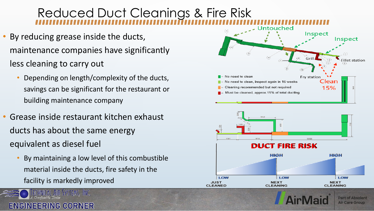#### Reduced Duct Cleanings & Fire Risk

**CLEANED** 

- By reducing grease inside the ducts, maintenance companies have significantly less cleaning to carry out
	- Depending on length/complexity of the ducts, savings can be significant for the restaurant or building maintenance company
- Grease inside restaurant kitchen exhaust ducts has about the same energy equivalent as diesel fuel
	- By maintaining a low level of this combustible material inside the ducts, fire safety in the facility is markedly improved







**CLEANING** 

**CLEANING**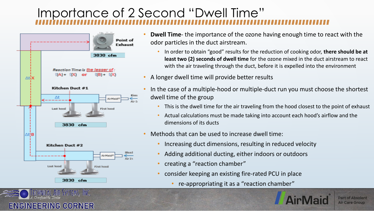#### Importance of 2 Second "Dwell Time"



VSTEMS, INC.

ENGINEERING CORNER

- **Dwell Time** the importance of the ozone having enough time to react with the odor particles in the duct airstream.
	- In order to obtain "good" results for the reduction of cooking odor, **there should be at least two (2) seconds of dwell time** for the ozone mixed in the duct airstream to react with the air traveling through the duct, before it is expelled into the environment
- A longer dwell time will provide better results
- In the case of a multiple-hood or multiple-duct run you must choose the shortest dwell time of the group
	- This is the dwell time for the air traveling from the hood closest to the point of exhaust
	- Actual calculations must be made taking into account each hood's airflow and the dimensions of its ducts
- Methods that can be used to increase dwell time:
	- Increasing duct dimensions, resulting in reduced velocity
	- Adding additional ducting, either indoors or outdoors
	- creating a "reaction chamber"
	- consider keeping an existing fire-rated PCU in place
		- re-appropriating it as a "reaction chamber"

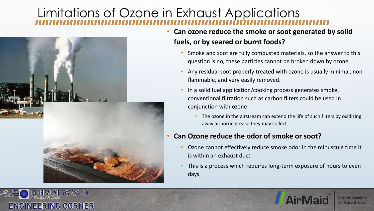### Limitations of Ozone in Exhaust Applications



- **Can ozone reduce the smoke or soot generated by solid fuels, or by seared or burnt foods?**
	- Smoke and soot are fully combusted materials, so the answer to this question is no, these particles cannot be broken down by ozone.
	- Any residual soot properly treated with ozone is usually minimal, non flammable, and very easily removed.
	- In a solid fuel application/cooking process generates smoke, conventional filtration such as carbon filters could be used in conjunction with ozone
		- The ozone in the airstream can extend the life of such filters by oxidizing away airborne grease they may collect

#### • **Can Ozone reduce the odor of smoke or soot?**

- Ozone cannot effectively reduce smoke odor in the minuscule time it is within an exhaust duct
- This is a process which requires long-term exposure of hours to even days





**Part of Absolent Air Care Group**